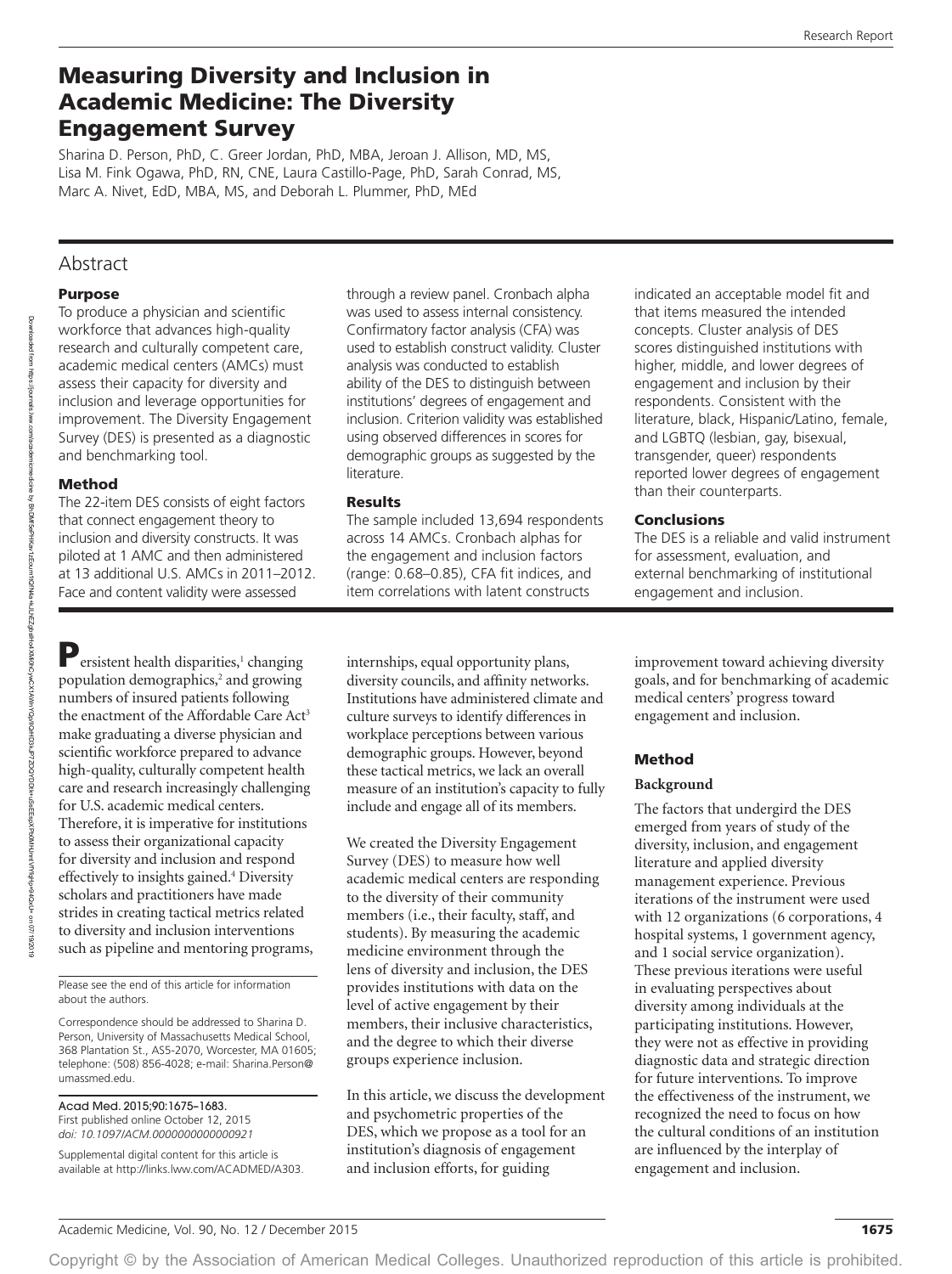# Measuring Diversity and Inclusion in Academic Medicine: The Diversity Engagement Survey

Sharina D. Person, PhD, C. Greer Jordan, PhD, MBA, Jeroan J. Allison, MD, MS, Lisa M. Fink Ogawa, PhD, RN, CNE, Laura Castillo-Page, PhD, Sarah Conrad, MS, Marc A. Nivet, EdD, MBA, MS, and Deborah L. Plummer, PhD, MEd

# Abstract

### Purpose

To produce a physician and scientific workforce that advances high-quality research and culturally competent care, academic medical centers (AMCs) must assess their capacity for diversity and inclusion and leverage opportunities for improvement. The Diversity Engagement Survey (DES) is presented as a diagnostic and benchmarking tool.

### Method

The 22-item DES consists of eight factors that connect engagement theory to inclusion and diversity constructs. It was piloted at 1 AMC and then administered at 13 additional U.S. AMCs in 2011–2012. Face and content validity were assessed

 $\mathbf{P}_{\text{ersistent health disparities,}^{1}}$  changing population demographics,<sup>2</sup> and growing numbers of insured patients following the enactment of the Affordable Care Act<sup>3</sup> make graduating a diverse physician and scientific workforce prepared to advance high-quality, culturally competent health care and research increasingly challenging for U.S. academic medical centers. Therefore, it is imperative for institutions to assess their organizational capacity for diversity and inclusion and respond effectively to insights gained.<sup>4</sup> Diversity scholars and practitioners have made strides in creating tactical metrics related to diversity and inclusion interventions such as pipeline and mentoring programs,

Please see the end of this article for information about the authors.

Correspondence should be addressed to Sharina D. Person, University of Massachusetts Medical School, 368 Plantation St., AS5-2070, Worcester, MA 01605; telephone: (508) 856-4028; e-mail: [Sharina.Person@](mailto:Sharina.Person@umassmed.edu) [umassmed.edu](mailto:Sharina.Person@umassmed.edu).

Acad Med. 2015;90:1675–1683. First published online October 12, 2015 *doi: 10.1097/ACM.0000000000000921*

Supplemental digital content for this article is available at [http://links.lww.com/ACADMED/A303.](http://links.lww.com/ACADMED/A303) through a review panel. Cronbach alpha was used to assess internal consistency. Confirmatory factor analysis (CFA) was used to establish construct validity. Cluster analysis was conducted to establish ability of the DES to distinguish between institutions' degrees of engagement and inclusion. Criterion validity was established using observed differences in scores for demographic groups as suggested by the literature.

### **Results**

The sample included 13,694 respondents across 14 AMCs. Cronbach alphas for the engagement and inclusion factors (range: 0.68–0.85), CFA fit indices, and item correlations with latent constructs

internships, equal opportunity plans, diversity councils, and affinity networks. Institutions have administered climate and culture surveys to identify differences in workplace perceptions between various demographic groups. However, beyond these tactical metrics, we lack an overall measure of an institution's capacity to fully include and engage all of its members.

We created the Diversity Engagement Survey (DES) to measure how well academic medical centers are responding to the diversity of their community members (i.e., their faculty, staff, and students). By measuring the academic medicine environment through the lens of diversity and inclusion, the DES provides institutions with data on the level of active engagement by their members, their inclusive characteristics, and the degree to which their diverse groups experience inclusion.

In this article, we discuss the development and psychometric properties of the DES, which we propose as a tool for an institution's diagnosis of engagement and inclusion efforts, for guiding

indicated an acceptable model fit and that items measured the intended concepts. Cluster analysis of DES scores distinguished institutions with higher, middle, and lower degrees of engagement and inclusion by their respondents. Consistent with the literature, black, Hispanic/Latino, female, and LGBTQ (lesbian, gay, bisexual, transgender, queer) respondents reported lower degrees of engagement than their counterparts.

### **Conclusions**

The DES is a reliable and valid instrument for assessment, evaluation, and external benchmarking of institutional engagement and inclusion.

improvement toward achieving diversity goals, and for benchmarking of academic medical centers' progress toward engagement and inclusion.

### Method

### **Background**

The factors that undergird the DES emerged from years of study of the diversity, inclusion, and engagement literature and applied diversity management experience. Previous iterations of the instrument were used with 12 organizations (6 corporations, 4 hospital systems, 1 government agency, and 1 social service organization). These previous iterations were useful in evaluating perspectives about diversity among individuals at the participating institutions. However, they were not as effective in providing diagnostic data and strategic direction for future interventions. To improve the effectiveness of the instrument, we recognized the need to focus on how the cultural conditions of an institution are influenced by the interplay of engagement and inclusion.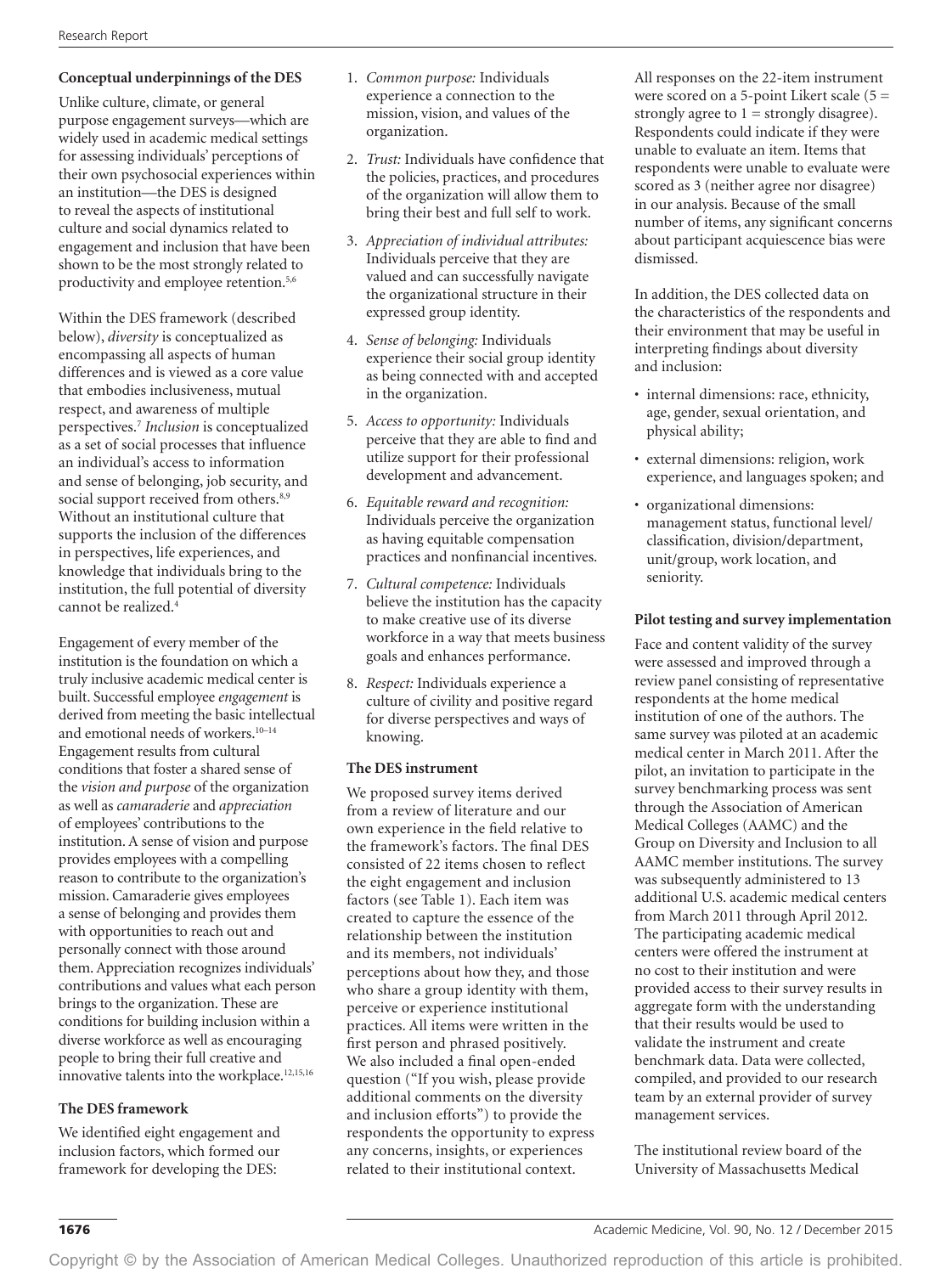### **Conceptual underpinnings of the DES**

Unlike culture, climate, or general purpose engagement surveys—which are widely used in academic medical settings for assessing individuals' perceptions of their own psychosocial experiences within an institution—the DES is designed to reveal the aspects of institutional culture and social dynamics related to engagement and inclusion that have been shown to be the most strongly related to productivity and employee retention.<sup>5,6</sup>

Within the DES framework (described below), *diversity* is conceptualized as encompassing all aspects of human differences and is viewed as a core value that embodies inclusiveness, mutual respect, and awareness of multiple perspectives.7 *Inclusion* is conceptualized as a set of social processes that influence an individual's access to information and sense of belonging, job security, and social support received from others.<sup>8,9</sup> Without an institutional culture that supports the inclusion of the differences in perspectives, life experiences, and knowledge that individuals bring to the institution, the full potential of diversity cannot be realized.4

Engagement of every member of the institution is the foundation on which a truly inclusive academic medical center is built. Successful employee *engagement* is derived from meeting the basic intellectual and emotional needs of workers.<sup>10-14</sup> Engagement results from cultural conditions that foster a shared sense of the *vision and purpose* of the organization as well as *camaraderie* and *appreciation* of employees' contributions to the institution. A sense of vision and purpose provides employees with a compelling reason to contribute to the organization's mission. Camaraderie gives employees a sense of belonging and provides them with opportunities to reach out and personally connect with those around them. Appreciation recognizes individuals' contributions and values what each person brings to the organization. These are conditions for building inclusion within a diverse workforce as well as encouraging people to bring their full creative and innovative talents into the workplace.12,15,16

### **The DES framework**

We identified eight engagement and inclusion factors, which formed our framework for developing the DES:

- 1. *Common purpose:* Individuals experience a connection to the mission, vision, and values of the organization.
- 2. *Trust:* Individuals have confidence that the policies, practices, and procedures of the organization will allow them to bring their best and full self to work.
- 3. *Appreciation of individual attributes:* Individuals perceive that they are valued and can successfully navigate the organizational structure in their expressed group identity.
- 4. *Sense of belonging:* Individuals experience their social group identity as being connected with and accepted in the organization.
- 5. *Access to opportunity:* Individuals perceive that they are able to find and utilize support for their professional development and advancement.
- 6. *Equitable reward and recognition:* Individuals perceive the organization as having equitable compensation practices and nonfinancial incentives.
- 7. *Cultural competence:* Individuals believe the institution has the capacity to make creative use of its diverse workforce in a way that meets business goals and enhances performance.
- 8. *Respect:* Individuals experience a culture of civility and positive regard for diverse perspectives and ways of knowing.

### **The DES instrument**

We proposed survey items derived from a review of literature and our own experience in the field relative to the framework's factors. The final DES consisted of 22 items chosen to reflect the eight engagement and inclusion factors (see Table 1). Each item was created to capture the essence of the relationship between the institution and its members, not individuals' perceptions about how they, and those who share a group identity with them, perceive or experience institutional practices. All items were written in the first person and phrased positively. We also included a final open-ended question ("If you wish, please provide additional comments on the diversity and inclusion efforts") to provide the respondents the opportunity to express any concerns, insights, or experiences related to their institutional context.

All responses on the 22-item instrument were scored on a 5-point Likert scale  $(5 =$ strongly agree to  $1 =$  strongly disagree). Respondents could indicate if they were unable to evaluate an item. Items that respondents were unable to evaluate were scored as 3 (neither agree nor disagree) in our analysis. Because of the small number of items, any significant concerns about participant acquiescence bias were dismissed.

In addition, the DES collected data on the characteristics of the respondents and their environment that may be useful in interpreting findings about diversity and inclusion:

- internal dimensions: race, ethnicity, age, gender, sexual orientation, and physical ability;
- • external dimensions: religion, work experience, and languages spoken; and
- organizational dimensions: management status, functional level/ classification, division/department, unit/group, work location, and seniority.

### **Pilot testing and survey implementation**

Face and content validity of the survey were assessed and improved through a review panel consisting of representative respondents at the home medical institution of one of the authors. The same survey was piloted at an academic medical center in March 2011. After the pilot, an invitation to participate in the survey benchmarking process was sent through the Association of American Medical Colleges (AAMC) and the Group on Diversity and Inclusion to all AAMC member institutions. The survey was subsequently administered to 13 additional U.S. academic medical centers from March 2011 through April 2012. The participating academic medical centers were offered the instrument at no cost to their institution and were provided access to their survey results in aggregate form with the understanding that their results would be used to validate the instrument and create benchmark data. Data were collected, compiled, and provided to our research team by an external provider of survey management services.

The institutional review board of the University of Massachusetts Medical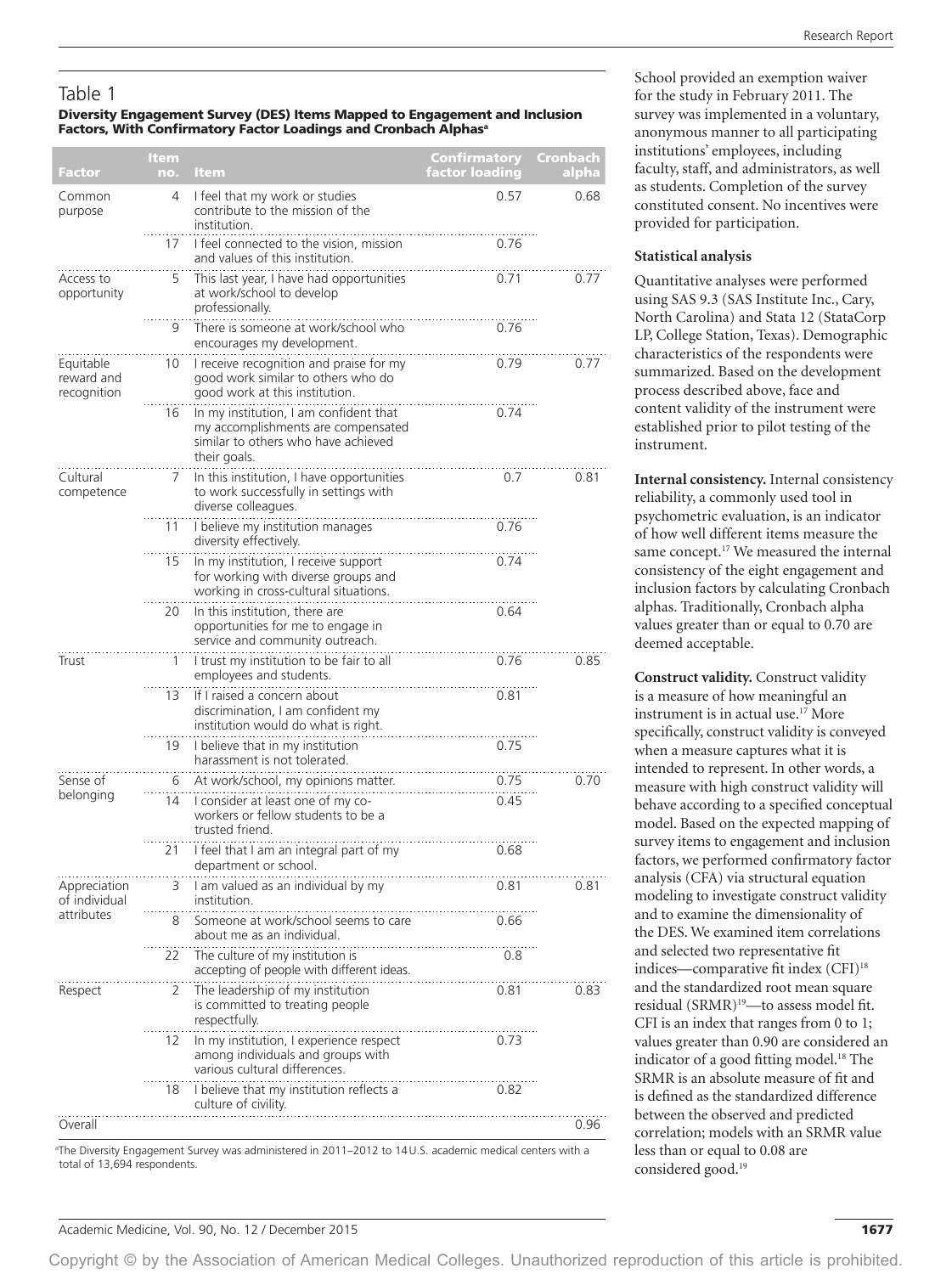## Table 1

#### Diversity Engagement Survey (DES) Items Mapped to Engagement and Inclusion Factors, With Confirmatory Factor Loadings and Cronbach Alphas<sup>a</sup>

| Factor                                      | <b>Item</b><br>no. | <b>Item</b>                                                                                                                         | Confirmatory<br>factor loading | <b>Cronbach</b><br>alpha |  |
|---------------------------------------------|--------------------|-------------------------------------------------------------------------------------------------------------------------------------|--------------------------------|--------------------------|--|
| Common<br>purpose                           | 4                  | I feel that my work or studies<br>contribute to the mission of the<br>institution.                                                  | 0.57                           | 0.68                     |  |
|                                             | 17                 | I feel connected to the vision, mission<br>and values of this institution.                                                          | 0.76                           |                          |  |
| Access to<br>opportunity                    | 5                  | This last year, I have had opportunities<br>at work/school to develop<br>professionally.                                            | .<br>0.71                      | 0.77                     |  |
|                                             | 9                  | There is someone at work/school who<br>encourages my development.                                                                   | 0.76                           |                          |  |
| Equitable<br>reward and<br>recognition      | 10                 | I receive recognition and praise for my<br>good work similar to others who do<br>good work at this institution.                     | 0.79                           | 0.77                     |  |
|                                             | 16                 | In my institution, I am confident that<br>my accomplishments are compensated<br>similar to others who have achieved<br>their goals. | 0.74                           |                          |  |
| Cultural<br>competence                      | 7                  | In this institution, I have opportunities<br>to work successfully in settings with<br>diverse colleagues.                           | 0.7                            | 0.81                     |  |
|                                             |                    | 11 I believe my institution manages<br>diversity effectively.                                                                       | 0.76                           |                          |  |
|                                             | 15                 | In my institution, I receive support<br>for working with diverse groups and<br>working in cross-cultural situations.                | 0.74                           |                          |  |
|                                             | 20                 | In this institution, there are<br>opportunities for me to engage in<br>service and community outreach.                              | 0.64                           |                          |  |
| Trust                                       | $\mathbf{1}$       | I trust my institution to be fair to all<br>employees and students.                                                                 | 0.76                           | 0.85                     |  |
|                                             | 13                 | If I raised a concern about<br>discrimination, I am confident my<br>institution would do what is right.                             | 0.81                           |                          |  |
|                                             | 19                 | I believe that in my institution<br>harassment is not tolerated.                                                                    | 0.75                           |                          |  |
| Sense of                                    | 6                  | At work/school, my opinions matter.                                                                                                 | 0.75                           | 0.70                     |  |
| belonging                                   | 14                 | I consider at least one of my co-<br>workers or fellow students to be a<br>trusted friend.                                          | 0.45                           |                          |  |
|                                             | 21                 | I feel that I am an integral part of my<br>department or school.                                                                    | 0.68                           |                          |  |
| Appreciation<br>of individual<br>attributes | 3                  | I am valued as an individual by my<br>institution.                                                                                  | 0.81                           | 0.81                     |  |
|                                             | 8                  | Someone at work/school seems to care<br>about me as an individual.                                                                  | 0.66                           |                          |  |
|                                             | 22                 | The culture of my institution is<br>accepting of people with different ideas.                                                       | 0.8<br>                        |                          |  |
| Respect                                     | 2                  | The leadership of my institution<br>is committed to treating people<br>respectfully.                                                | 0.81                           | 0.83                     |  |
|                                             | 12                 | In my institution, I experience respect<br>among individuals and groups with<br>various cultural differences.                       | 0.73                           |                          |  |
|                                             | 18                 | I believe that my institution reflects a<br>culture of civility.                                                                    | 0.82                           |                          |  |
| Overall                                     |                    |                                                                                                                                     |                                | 0.96                     |  |

a The Diversity Engagement Survey was administered in 2011–2012 to 14U.S. academic medical centers with a total of 13,694 respondents.

School provided an exemption waiver for the study in February 2011. The survey was implemented in a voluntary, anonymous manner to all participating institutions' employees, including faculty, staff, and administrators, as well as students. Completion of the survey constituted consent. No incentives were provided for participation.

### **Statistical analysis**

Quantitative analyses were performed using SAS 9.3 (SAS Institute Inc., Cary, North Carolina) and Stata 12 (StataCorp LP, College Station, Texas). Demographic characteristics of the respondents were summarized. Based on the development process described above, face and content validity of the instrument were established prior to pilot testing of the instrument.

**Internal consistency.** Internal consistency reliability, a commonly used tool in psychometric evaluation, is an indicator of how well different items measure the same concept.<sup>17</sup> We measured the internal consistency of the eight engagement and inclusion factors by calculating Cronbach alphas. Traditionally, Cronbach alpha values greater than or equal to 0.70 are deemed acceptable.

**Construct validity.** Construct validity is a measure of how meaningful an instrument is in actual use.17 More specifically, construct validity is conveyed when a measure captures what it is intended to represent. In other words, a measure with high construct validity will behave according to a specified conceptual model. Based on the expected mapping of survey items to engagement and inclusion factors, we performed confirmatory factor analysis (CFA) via structural equation modeling to investigate construct validity and to examine the dimensionality of the DES. We examined item correlations and selected two representative fit indices—comparative fit index (CFI)<sup>18</sup> and the standardized root mean square residual (SRMR)<sup>19</sup>-to assess model fit. CFI is an index that ranges from 0 to 1; values greater than 0.90 are considered an indicator of a good fitting model.<sup>18</sup> The SRMR is an absolute measure of fit and is defined as the standardized difference between the observed and predicted correlation; models with an SRMR value less than or equal to 0.08 are considered good.<sup>19</sup>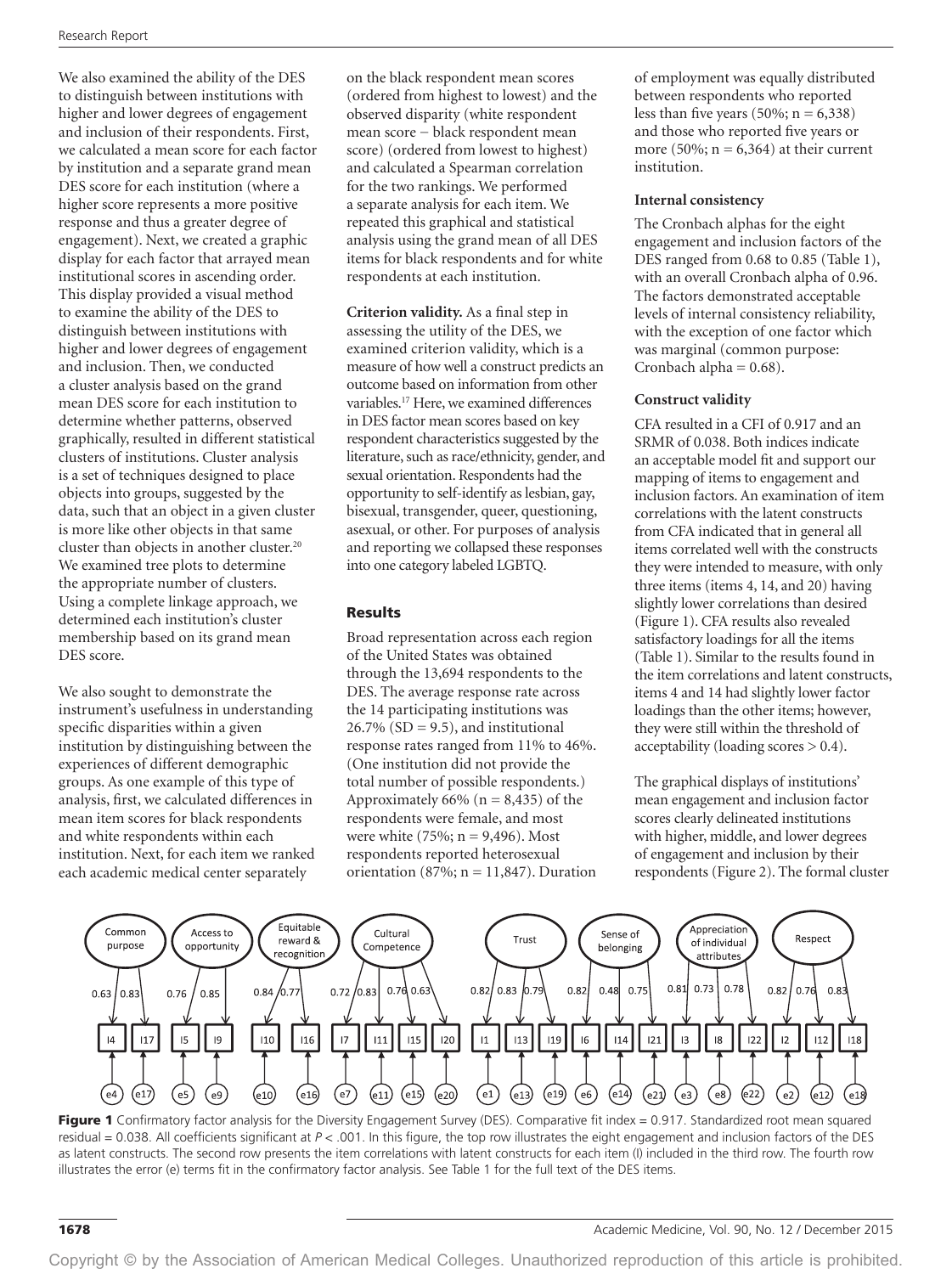We also examined the ability of the DES to distinguish between institutions with higher and lower degrees of engagement and inclusion of their respondents. First, we calculated a mean score for each factor by institution and a separate grand mean DES score for each institution (where a higher score represents a more positive response and thus a greater degree of engagement). Next, we created a graphic display for each factor that arrayed mean institutional scores in ascending order. This display provided a visual method to examine the ability of the DES to distinguish between institutions with higher and lower degrees of engagement and inclusion. Then, we conducted a cluster analysis based on the grand mean DES score for each institution to determine whether patterns, observed graphically, resulted in different statistical clusters of institutions. Cluster analysis is a set of techniques designed to place objects into groups, suggested by the data, such that an object in a given cluster is more like other objects in that same cluster than objects in another cluster.<sup>20</sup> We examined tree plots to determine the appropriate number of clusters. Using a complete linkage approach, we determined each institution's cluster membership based on its grand mean DES score.

We also sought to demonstrate the instrument's usefulness in understanding specific disparities within a given institution by distinguishing between the experiences of different demographic groups. As one example of this type of analysis, first, we calculated differences in mean item scores for black respondents and white respondents within each institution. Next, for each item we ranked each academic medical center separately

on the black respondent mean scores (ordered from highest to lowest) and the observed disparity (white respondent mean score − black respondent mean score) (ordered from lowest to highest) and calculated a Spearman correlation for the two rankings. We performed a separate analysis for each item. We repeated this graphical and statistical analysis using the grand mean of all DES items for black respondents and for white respondents at each institution.

**Criterion validity.** As a final step in assessing the utility of the DES, we examined criterion validity, which is a measure of how well a construct predicts an outcome based on information from other variables.17 Here, we examined differences in DES factor mean scores based on key respondent characteristics suggested by the literature, such as race/ethnicity, gender, and sexual orientation. Respondents had the opportunity to self-identify as lesbian, gay, bisexual, transgender, queer, questioning, asexual, or other. For purposes of analysis and reporting we collapsed these responses into one category labeled LGBTQ.

### Results

Broad representation across each region of the United States was obtained through the 13,694 respondents to the DES. The average response rate across the 14 participating institutions was  $26.7\%$  (SD = 9.5), and institutional response rates ranged from 11% to 46%. (One institution did not provide the total number of possible respondents.) Approximately 66% ( $n = 8,435$ ) of the respondents were female, and most were white  $(75\%; n = 9,496)$ . Most respondents reported heterosexual orientation (87%;  $n = 11,847$ ). Duration of employment was equally distributed between respondents who reported less than five years  $(50\%; n = 6,338)$ and those who reported five years or more (50%;  $n = 6,364$ ) at their current institution.

### **Internal consistency**

The Cronbach alphas for the eight engagement and inclusion factors of the DES ranged from 0.68 to 0.85 (Table 1), with an overall Cronbach alpha of 0.96. The factors demonstrated acceptable levels of internal consistency reliability, with the exception of one factor which was marginal (common purpose: Cronbach alpha  $= 0.68$ ).

### **Construct validity**

CFA resulted in a CFI of 0.917 and an SRMR of 0.038. Both indices indicate an acceptable model fit and support our mapping of items to engagement and inclusion factors. An examination of item correlations with the latent constructs from CFA indicated that in general all items correlated well with the constructs they were intended to measure, with only three items (items 4, 14, and 20) having slightly lower correlations than desired (Figure 1). CFA results also revealed satisfactory loadings for all the items (Table 1). Similar to the results found in the item correlations and latent constructs, items 4 and 14 had slightly lower factor loadings than the other items; however, they were still within the threshold of  $acceptability$  (loading scores  $> 0.4$ ).

The graphical displays of institutions' mean engagement and inclusion factor scores clearly delineated institutions with higher, middle, and lower degrees of engagement and inclusion by their respondents (Figure 2). The formal cluster



Figure 1 Confirmatory factor analysis for the Diversity Engagement Survey (DES). Comparative fit index = 0.917. Standardized root mean squared residual = 0.038. All coefficients significant at  $P < .001$ . In this figure, the top row illustrates the eight engagement and inclusion factors of the DES as latent constructs. The second row presents the item correlations with latent constructs for each item (I) included in the third row. The fourth row illustrates the error (e) terms fit in the confirmatory factor analysis. See Table 1 for the full text of the DES items.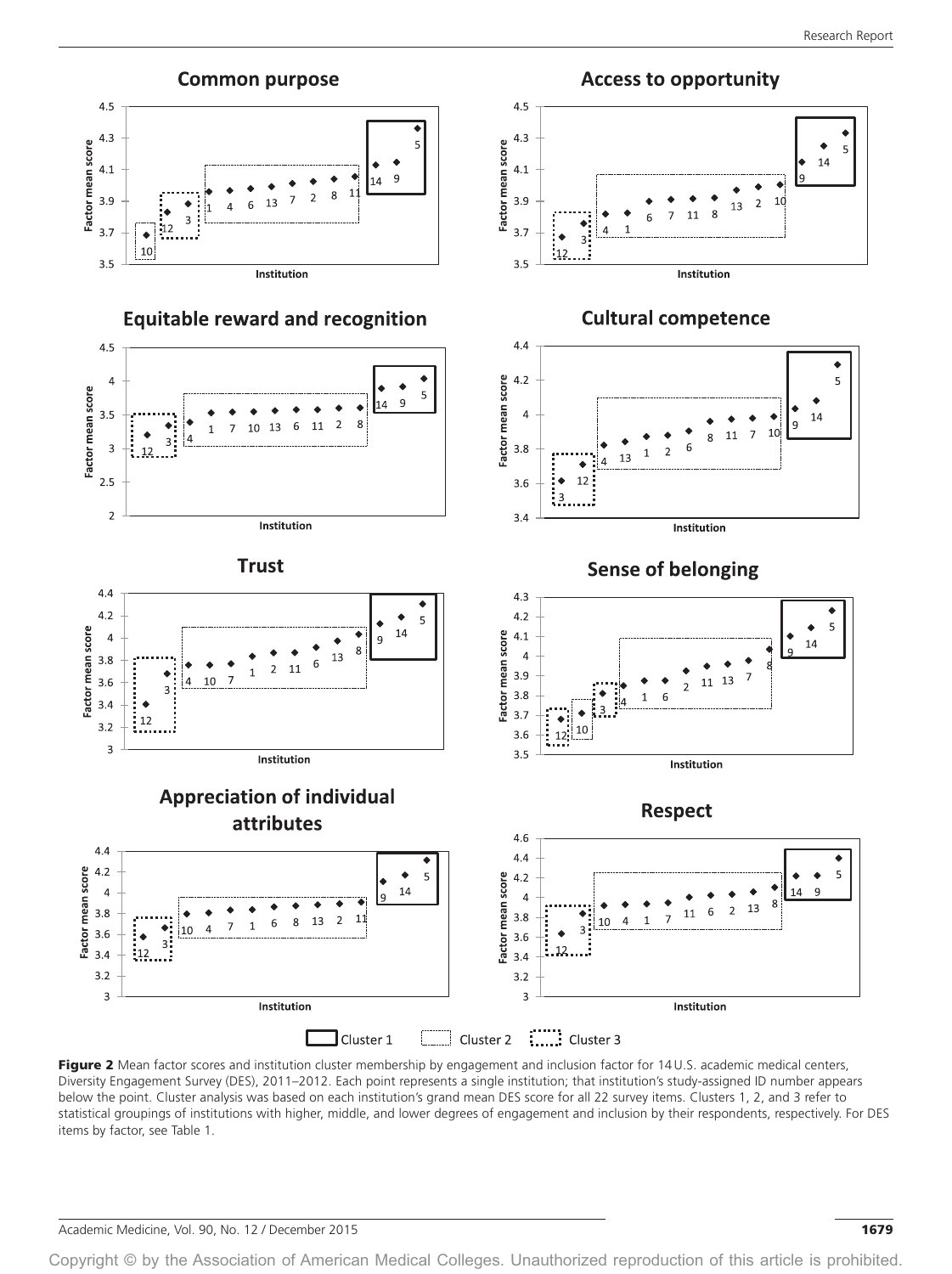

Figure 2 Mean factor scores and institution cluster membership by engagement and inclusion factor for 14U.S. academic medical centers, Diversity Engagement Survey (DES), 2011–2012. Each point represents a single institution; that institution's study-assigned ID number appears below the point. Cluster analysis was based on each institution's grand mean DES score for all 22 survey items. Clusters 1, 2, and 3 refer to statistical groupings of institutions with higher, middle, and lower degrees of engagement and inclusion by their respondents, respectively. For DES items by factor, see Table 1.

Copyright © by the Association of American Medical Colleges. Unauthorized reproduction of this article is prohibited.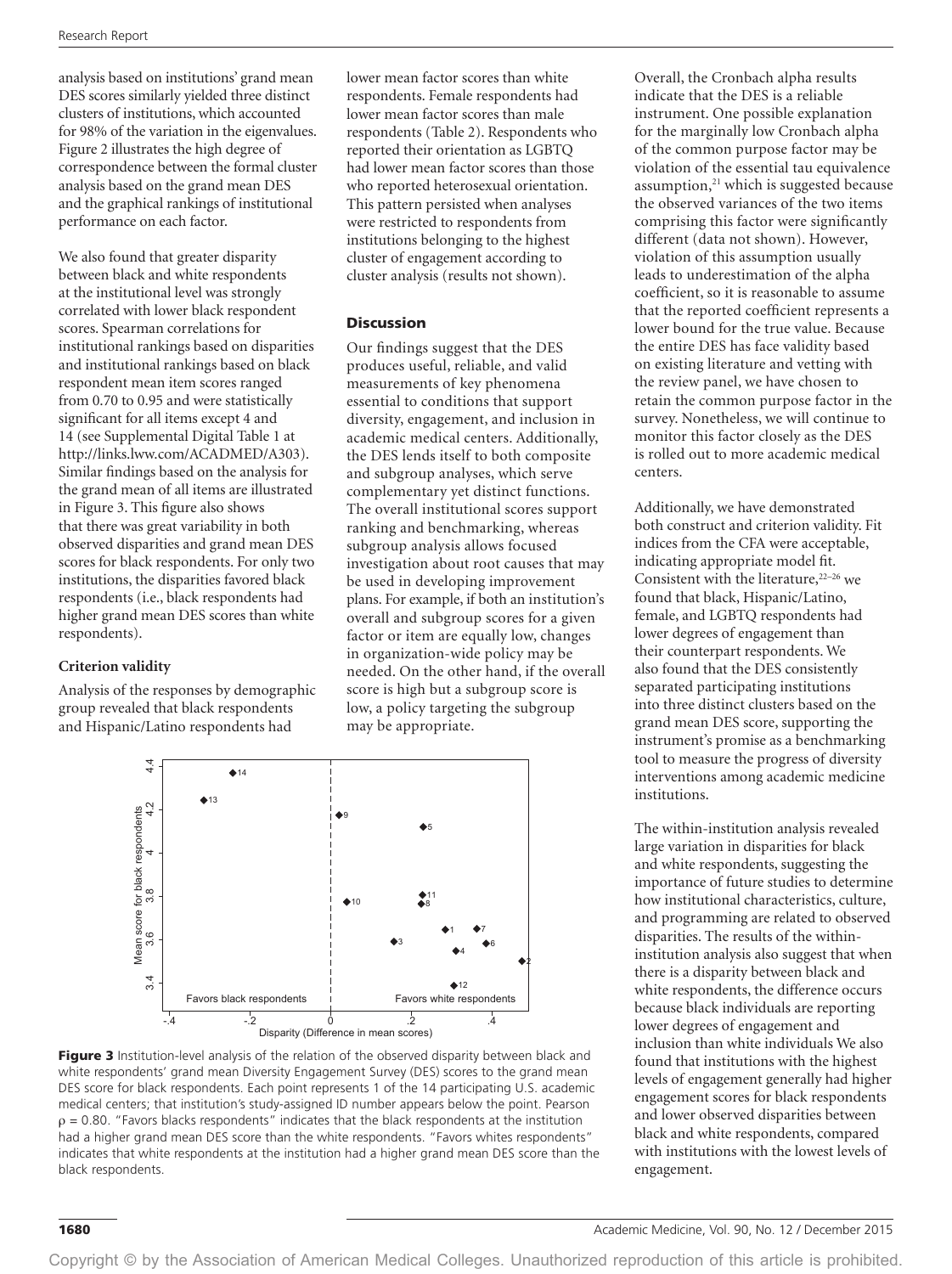analysis based on institutions' grand mean DES scores similarly yielded three distinct clusters of institutions, which accounted for 98% of the variation in the eigenvalues. Figure 2 illustrates the high degree of correspondence between the formal cluster analysis based on the grand mean DES and the graphical rankings of institutional performance on each factor.

We also found that greater disparity between black and white respondents at the institutional level was strongly correlated with lower black respondent scores. Spearman correlations for institutional rankings based on disparities and institutional rankings based on black respondent mean item scores ranged from 0.70 to 0.95 and were statistically significant for all items except 4 and 14 (see Supplemental Digital Table 1 at <http://links.lww.com/ACADMED/A303>). Similar findings based on the analysis for the grand mean of all items are illustrated in Figure 3. This figure also shows that there was great variability in both observed disparities and grand mean DES scores for black respondents. For only two institutions, the disparities favored black respondents (i.e., black respondents had higher grand mean DES scores than white respondents).

### **Criterion validity**

Analysis of the responses by demographic group revealed that black respondents and Hispanic/Latino respondents had

lower mean factor scores than white respondents. Female respondents had lower mean factor scores than male respondents (Table 2). Respondents who reported their orientation as LGBTQ had lower mean factor scores than those who reported heterosexual orientation. This pattern persisted when analyses were restricted to respondents from institutions belonging to the highest cluster of engagement according to cluster analysis (results not shown).

### **Discussion**

Our findings suggest that the DES produces useful, reliable, and valid measurements of key phenomena essential to conditions that support diversity, engagement, and inclusion in academic medical centers. Additionally, the DES lends itself to both composite and subgroup analyses, which serve complementary yet distinct functions. The overall institutional scores support ranking and benchmarking, whereas subgroup analysis allows focused investigation about root causes that may be used in developing improvement plans. For example, if both an institution's overall and subgroup scores for a given factor or item are equally low, changes in organization-wide policy may be needed. On the other hand, if the overall score is high but a subgroup score is low, a policy targeting the subgroup may be appropriate.



Figure 3 Institution-level analysis of the relation of the observed disparity between black and white respondents' grand mean Diversity Engagement Survey (DES) scores to the grand mean DES score for black respondents. Each point represents 1 of the 14 participating U.S. academic medical centers; that institution's study-assigned ID number appears below the point. Pearson  $\rho = 0.80$ . "Favors blacks respondents" indicates that the black respondents at the institution had a higher grand mean DES score than the white respondents. "Favors whites respondents" indicates that white respondents at the institution had a higher grand mean DES score than the black respondents.

Overall, the Cronbach alpha results indicate that the DES is a reliable instrument. One possible explanation for the marginally low Cronbach alpha of the common purpose factor may be violation of the essential tau equivalence assumption, $21$  which is suggested because the observed variances of the two items comprising this factor were significantly different (data not shown). However, violation of this assumption usually leads to underestimation of the alpha coefficient, so it is reasonable to assume that the reported coefficient represents a lower bound for the true value. Because the entire DES has face validity based on existing literature and vetting with the review panel, we have chosen to retain the common purpose factor in the survey. Nonetheless, we will continue to monitor this factor closely as the DES is rolled out to more academic medical centers.

Additionally, we have demonstrated both construct and criterion validity. Fit indices from the CFA were acceptable, indicating appropriate model fit. Consistent with the literature, $22-26$  we found that black, Hispanic/Latino, female, and LGBTQ respondents had lower degrees of engagement than their counterpart respondents. We also found that the DES consistently separated participating institutions into three distinct clusters based on the grand mean DES score, supporting the instrument's promise as a benchmarking tool to measure the progress of diversity interventions among academic medicine institutions.

The within-institution analysis revealed large variation in disparities for black and white respondents, suggesting the importance of future studies to determine how institutional characteristics, culture, and programming are related to observed disparities. The results of the withininstitution analysis also suggest that when there is a disparity between black and white respondents, the difference occurs because black individuals are reporting lower degrees of engagement and inclusion than white individuals We also found that institutions with the highest levels of engagement generally had higher engagement scores for black respondents and lower observed disparities between black and white respondents, compared with institutions with the lowest levels of engagement.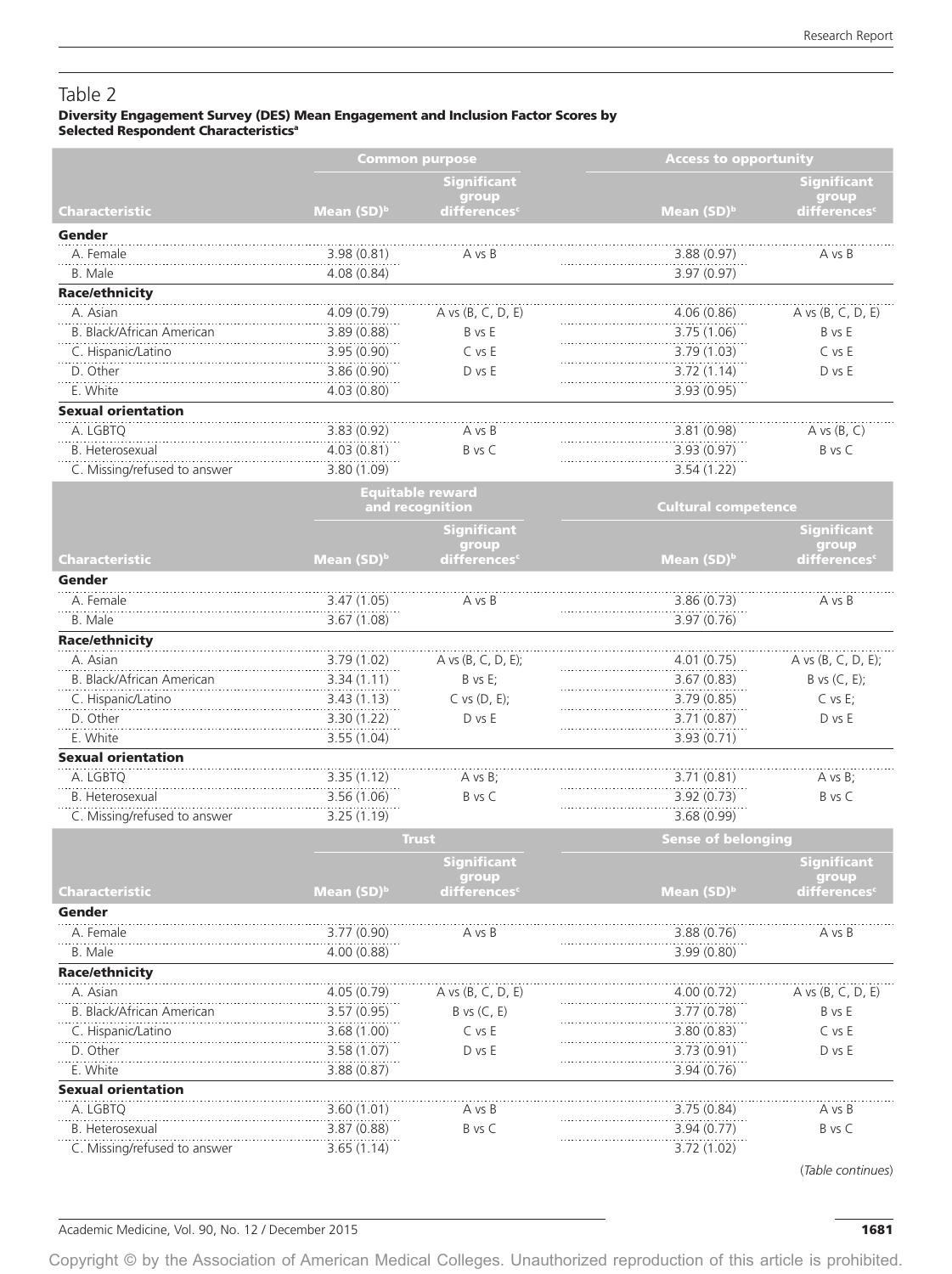# Table 2

#### Diversity Engagement Survey (DES) Mean Engagement and Inclusion Factor Scores by Selected Respondent Characteristicsª

|                              | <b>Common purpose</b>                      |                                   |                        | <b>Access to opportunity</b> |  |
|------------------------------|--------------------------------------------|-----------------------------------|------------------------|------------------------------|--|
|                              |                                            | Significant<br>group              |                        | <b>Significant</b><br>group  |  |
| Characteristic               | Mean (SD) <sup>b</sup>                     | differences <sup>c</sup>          | Mean (SD) <sup>b</sup> | differences <sup>c</sup>     |  |
| Gender                       |                                            |                                   |                        |                              |  |
| A. Female                    | 3.98(0.81)                                 | A vs B                            | 3.88(0.97)             | A vs B                       |  |
| B. Male                      | 4.08(0.84)                                 |                                   | 3.97(0.97)             |                              |  |
| <b>Race/ethnicity</b>        |                                            |                                   |                        |                              |  |
| A. Asian                     | 4.09(0.79)                                 | A vs (B, C, D, E)                 | 4.06(0.86)             | A vs $(B, C, D, E)$          |  |
| B. Black/African American    | 3.89(0.88)                                 | B vs E                            | 3.75(1.06)             | B vs E                       |  |
| C. Hispanic/Latino           | 3.95(0.90)                                 | C vs E                            | 3.79(1.03)             | C vs E                       |  |
| D. Other                     | 3.86(0.90)                                 | D vs E                            | 3.72(1.14)             | D vs E                       |  |
| E. White                     | 4.03(0.80)                                 |                                   | 3.93(0.95)             |                              |  |
| <b>Sexual orientation</b>    |                                            |                                   |                        |                              |  |
| A. LGBTO                     | 3.83(0.92)                                 | A vs B                            | 3.81 (0.98)            | A vs $(B, C)$                |  |
| <b>B.</b> Heterosexual       | 4.03(0.81)                                 | B vs C                            | 3.93(0.97)             | B vs C                       |  |
| C. Missing/refused to answer | 3.80(1.09)                                 |                                   | 3.54(1.22)             |                              |  |
|                              | <b>Equitable reward</b><br>and recognition |                                   |                        | <b>Cultural competence</b>   |  |
|                              |                                            | <b>Significant</b>                |                        | <b>Significant</b>           |  |
| Characteristic               | Mean (SD) <sup>b</sup>                     | group<br>differences <sup>c</sup> | Mean (SD) <sup>b</sup> | group                        |  |
| Gender                       |                                            |                                   |                        | differences <sup>c</sup>     |  |
|                              |                                            |                                   |                        |                              |  |
| A. Female                    | 3.47(1.05)                                 | A vs B                            | 3.86(0.73)             | A vs B                       |  |
| B. Male                      | 3.67 (1.08)                                |                                   | 3.97(0.76)             |                              |  |
| <b>Race/ethnicity</b>        |                                            |                                   |                        |                              |  |
| A. Asian                     | 3.79 (1.02)                                | A vs (B, C, D, E);                | 4.01(0.75)             | A vs $(B, C, D, E)$ ;        |  |
| B. Black/African American    | 3.34(1.11)                                 | B vs E;                           | 3.67(0.83)             | B vs $(C, E)$ ;              |  |
| C. Hispanic/Latino           | 3.43(1.13)                                 | $C$ vs $(D, E)$ ;                 | 3.79(0.85)             | $C$ vs $E$ ;                 |  |
| D. Other                     | 3.30(1.22)                                 | D vs E                            | 3.71(0.87)             | D vs E                       |  |
| E. White                     | 3.55(1.04)                                 |                                   | 3.93(0.71)             |                              |  |
| <b>Sexual orientation</b>    |                                            |                                   |                        |                              |  |
| A. LGBTQ                     | 3.35(1.12)                                 | A vs B;                           | 3.71(0.81)             | A vs B;                      |  |
| <b>B.</b> Heterosexual       | 3.56(1.06)                                 | B vs C                            | 3.92(0.73)             | B vs C                       |  |
| C. Missing/refused to answer | 3.25(1.19)                                 |                                   | 3.68(0.99)             |                              |  |
|                              | <b>Trust</b>                               |                                   |                        | <b>Sense of belonging</b>    |  |
|                              |                                            | Significant                       |                        | <b>Significant</b>           |  |
|                              |                                            | group                             |                        | group                        |  |
| Characteristic               | Mean (SD) <sup>b</sup>                     | differences <sup>c</sup>          | Mean (SD) <sup>b</sup> | differences <sup>c</sup>     |  |
| Gender                       |                                            |                                   |                        |                              |  |
| A. Female                    | 3.77(0.90)                                 | A vs B                            | 3.88(0.76)             | A vs B                       |  |
| B. Male                      | 4.00(0.88)                                 |                                   | 3.99(0.80)             |                              |  |
| <b>Race/ethnicity</b>        |                                            |                                   |                        |                              |  |
| A. Asian                     | 4.05(0.79)                                 | A vs $(B, C, D, E)$               | 4.00(0.72)             | A vs $(B, C, D, E)$          |  |
| B. Black/African American    | 3.57(0.95)                                 | B vs (C, E)                       | 3.77(0.78)             | B vs E                       |  |
| C. Hispanic/Latino           | 3.68(1.00)                                 | C vs E                            | 3.80(0.83)             | C vs E                       |  |
| D. Other                     | 3.58(1.07)                                 | D vs E                            | 3.73(0.91)             | D vs E                       |  |
| E. White                     | 3.88 (0.87)                                |                                   | 3.94(0.76)             |                              |  |
| <b>Sexual orientation</b>    |                                            |                                   |                        |                              |  |
| A. LGBTQ                     | 3.60 (1.01)                                | A vs B                            | 3.75 (0.84)            | A vs B                       |  |
| <b>B.</b> Heterosexual       | 3.87(0.88)                                 | B vs C                            | 3.94(0.77)             | B vs C                       |  |
| C. Missing/refused to answer | 3.65(1.14)                                 |                                   | 3.72(1.02)             |                              |  |
|                              |                                            |                                   |                        | (Table continues)            |  |

Copyright © by the Association of American Medical Colleges. Unauthorized reproduction of this article is prohibited.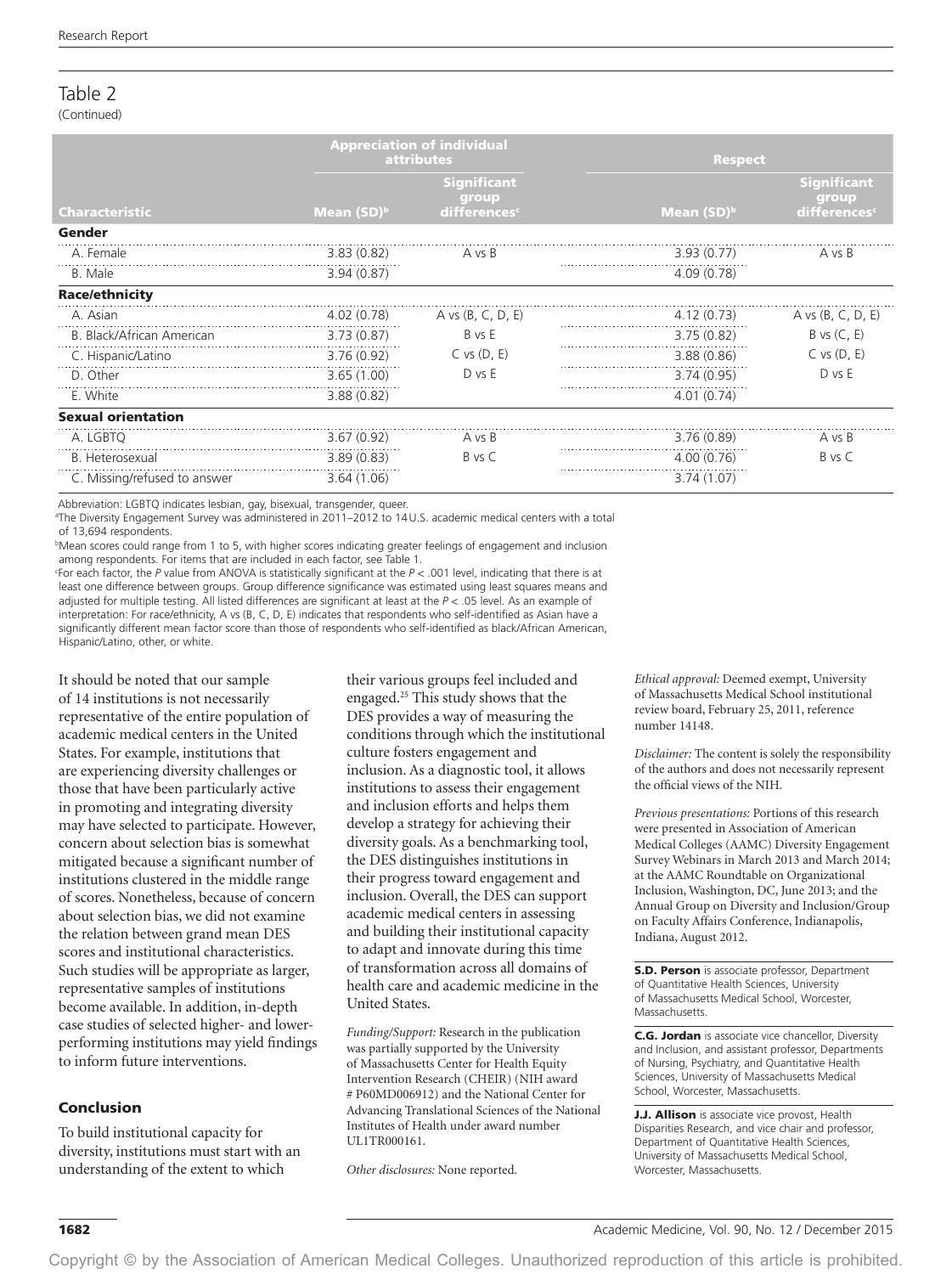# Table 2

(Continued)

|                              | <b>Appreciation of individual</b><br>attributes |                                                         | <b>Respect</b>         |                                                         |
|------------------------------|-------------------------------------------------|---------------------------------------------------------|------------------------|---------------------------------------------------------|
| <b>Characteristic</b>        | Mean $(SD)^b$                                   | <b>Significant</b><br>group<br>differences <sup>c</sup> | Mean (SD) <sup>b</sup> | <b>Significant</b><br>group<br>differences <sup>®</sup> |
| Gender                       |                                                 |                                                         |                        |                                                         |
| A. Female                    | 3.83(0.82)                                      | A vs B                                                  | 3.93(0.77)             | A vs B                                                  |
| B. Male                      | 3.94(0.87)                                      |                                                         | 4.09(0.78)             |                                                         |
| <b>Race/ethnicity</b>        |                                                 |                                                         |                        |                                                         |
| A. Asian                     | 4.02 (0.78)                                     | A vs $(B, C, D, E)$                                     | 4.12(0.73)             | A vs $(B, C, D, E)$                                     |
| B. Black/African American    | 3.73(0.87)                                      | B vs E                                                  | 3.75(0.82)             | B vs (C, E)                                             |
| C. Hispanic/Latino           | 3.76(0.92)                                      | C vs (D, E)                                             | 3.88(0.86)             | C vs (D, E)                                             |
| D. Other                     | 3.65(1.00)                                      | D vs E                                                  | 3.74(0.95)             | D vs E                                                  |
| E. White                     | 3.88(0.82)                                      |                                                         | 4.01(0.74)             |                                                         |
| <b>Sexual orientation</b>    |                                                 |                                                         |                        |                                                         |
| A. LGBTQ                     | 3.67(0.92)                                      | A vs B                                                  | 3.76(0.89)             | A vs B                                                  |
| B. Heterosexual              | 3.89(0.83)                                      | B vs C                                                  | 4.00(0.76)             | B vs C                                                  |
| C. Missing/refused to answer | 3.64(1.06)                                      |                                                         | 3.74(1.07)             |                                                         |

Abbreviation: LGBTQ indicates lesbian, gay, bisexual, transgender, queer.

a The Diversity Engagement Survey was administered in 2011–2012 to 14U.S. academic medical centers with a total of 13,694 respondents.

<sup>b</sup>Mean scores could range from 1 to 5, with higher scores indicating greater feelings of engagement and inclusion among respondents. For items that are included in each factor, see Table 1.

c For each factor, the *P* value from ANOVA is statistically significant at the *P* < .001 level, indicating that there is at least one difference between groups. Group difference significance was estimated using least squares means and adjusted for multiple testing. All listed differences are significant at least at the *P* < .05 level. As an example of interpretation: For race/ethnicity, A vs (B, C, D, E) indicates that respondents who self-identified as Asian have a significantly different mean factor score than those of respondents who self-identified as black/African American, Hispanic/Latino, other, or white.

It should be noted that our sample of 14 institutions is not necessarily representative of the entire population of academic medical centers in the United States. For example, institutions that are experiencing diversity challenges or those that have been particularly active in promoting and integrating diversity may have selected to participate. However, concern about selection bias is somewhat mitigated because a significant number of institutions clustered in the middle range of scores. Nonetheless, because of concern about selection bias, we did not examine the relation between grand mean DES scores and institutional characteristics. Such studies will be appropriate as larger, representative samples of institutions become available. In addition, in-depth case studies of selected higher- and lowerperforming institutions may yield findings to inform future interventions.

### Conclusion

To build institutional capacity for diversity, institutions must start with an understanding of the extent to which

their various groups feel included and engaged.25 This study shows that the DES provides a way of measuring the conditions through which the institutional culture fosters engagement and inclusion. As a diagnostic tool, it allows institutions to assess their engagement and inclusion efforts and helps them develop a strategy for achieving their diversity goals. As a benchmarking tool, the DES distinguishes institutions in their progress toward engagement and inclusion. Overall, the DES can support academic medical centers in assessing and building their institutional capacity to adapt and innovate during this time of transformation across all domains of health care and academic medicine in the United States.

*Funding/Support:* Research in the publication was partially supported by the University of Massachusetts Center for Health Equity Intervention Research (CHEIR) (NIH award # P60MD006912) and the National Center for Advancing Translational Sciences of the National Institutes of Health under award number UL1TR000161.

*Other disclosures:* None reported.

*Ethical approval:* Deemed exempt, University of Massachusetts Medical School institutional review board, February 25, 2011, reference number 14148.

*Disclaimer:* The content is solely the responsibility of the authors and does not necessarily represent the official views of the NIH.

*Previous presentations:* Portions of this research were presented in Association of American Medical Colleges (AAMC) Diversity Engagement Survey Webinars in March 2013 and March 2014; at the AAMC Roundtable on Organizational Inclusion, Washington, DC, June 2013; and the Annual Group on Diversity and Inclusion/Group on Faculty Affairs Conference, Indianapolis, Indiana, August 2012.

**S.D. Person** is associate professor, Department of Quantitative Health Sciences, University of Massachusetts Medical School, Worcester, Massachusetts.

**C.G. Jordan** is associate vice chancellor, Diversity and Inclusion, and assistant professor, Departments of Nursing, Psychiatry, and Quantitative Health Sciences, University of Massachusetts Medical School, Worcester, Massachusetts.

J.J. Allison is associate vice provost, Health Disparities Research, and vice chair and professor, Department of Quantitative Health Sciences, University of Massachusetts Medical School, Worcester, Massachusetts.